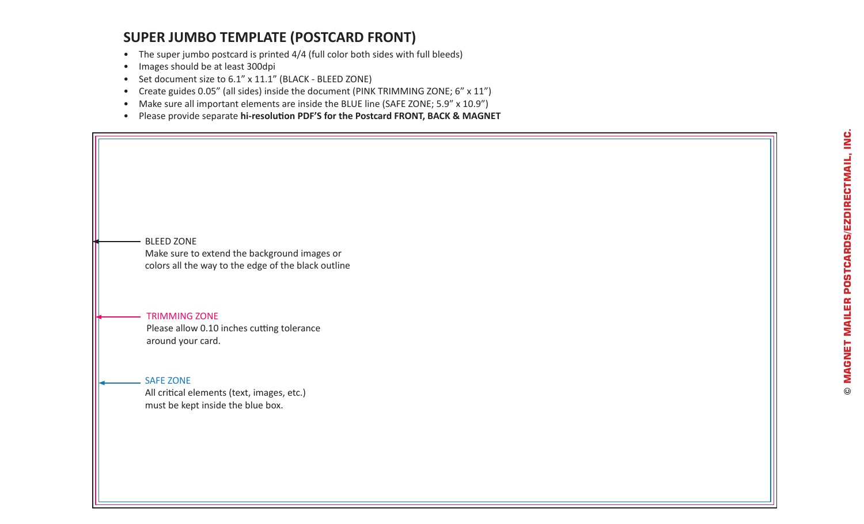## **SUPER JUMBO TEMPLATE (POSTCARD FRONT)**

- The super jumbo postcard is printed 4/4 (full color both sides with full bleeds)
- Images should be at least 300dpi
- Set document size to 6.1" x 11.1" (BLACK BLEED ZONE)
- Create guides 0.05" (all sides) inside the document (PINK TRIMMING ZONE; 6" x 11")
- Make sure all important elements are inside the BLUE line (SAFE ZONE; 5.9" x 10.9")
- Please provide separate **hi-resolution PDF'S for the Postcard FRONT, BACK & MAGNET**

BLEED ZONE Make sure to extend the background images or colors all the way to the edge of the black outline

#### TRIMMING ZONE Please allow 0.10 inches cutting tolerance around your card.

#### SAFE ZONE

All critical elements (text, images, etc.) must be kept inside the blue box.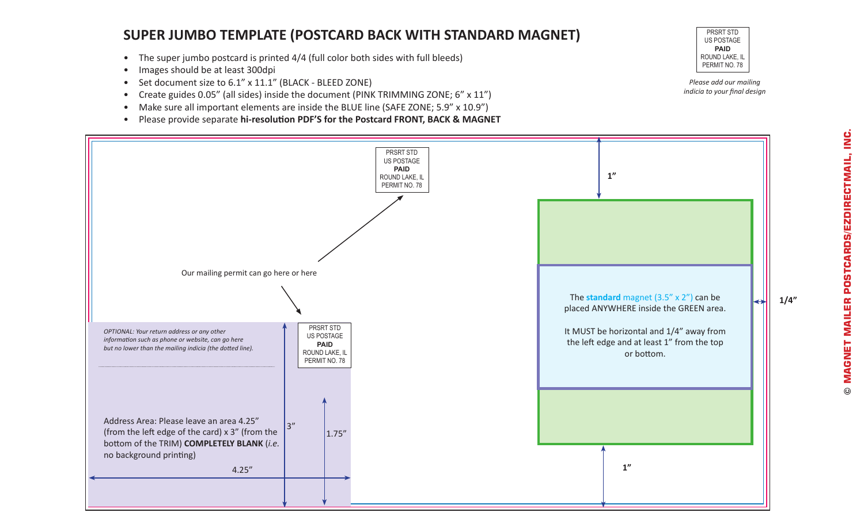## **SUPER JUMBO TEMPLATE (POSTCARD BACK WITH STANDARD MAGNET)**

- The super jumbo postcard is printed 4/4 (full color both sides with full bleeds)
- Images should be at least 300dpi
- Set document size to 6.1" x 11.1" (BLACK BLEED ZONE)
- Create guides 0.05" (all sides) inside the document (PINK TRIMMING ZONE; 6" x 11")
- Make sure all important elements are inside the BLUE line (SAFE ZONE; 5.9" x 10.9")
- Please provide separate **hi-resolution PDF'S for the Postcard FRONT, BACK & MAGNET**



*Please add our mailing indicia to your final design*

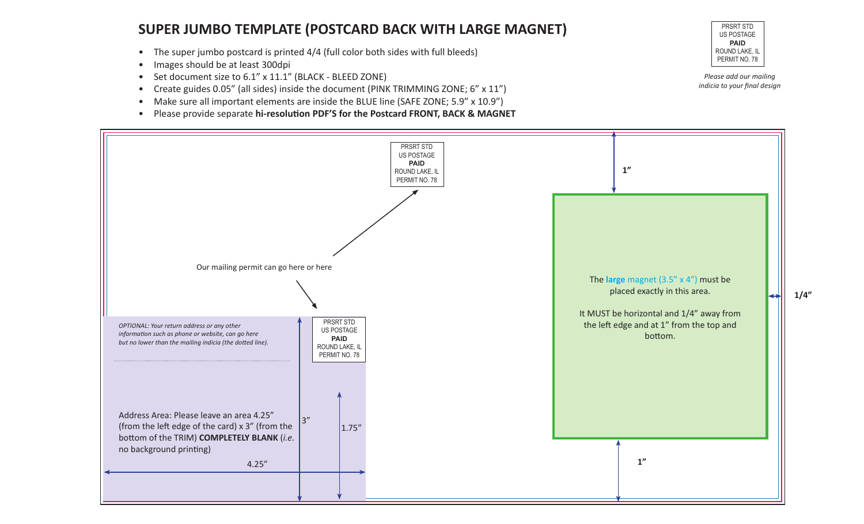#### **SUPER JUMBO TEMPLATE (POSTCARD BACK WITH LARGE MAGNET)**

- The super jumbo postcard is printed 4/4 (full color both sides with full bleeds)
- Images should be at least 300dpi
- Set document size to 6.1" x 11.1" (BLACK BLEED ZONE)
- Create guides 0.05" (all sides) inside the document (PINK TRIMMING ZONE; 6" x 11")
- Make sure all important elements are inside the BLUE line (SAFE ZONE; 5.9" x 10.9")
- Please provide separate **hi-resolution PDF'S for the Postcard FRONT, BACK & MAGNET**



*Please add our mailing indicia to your final design*